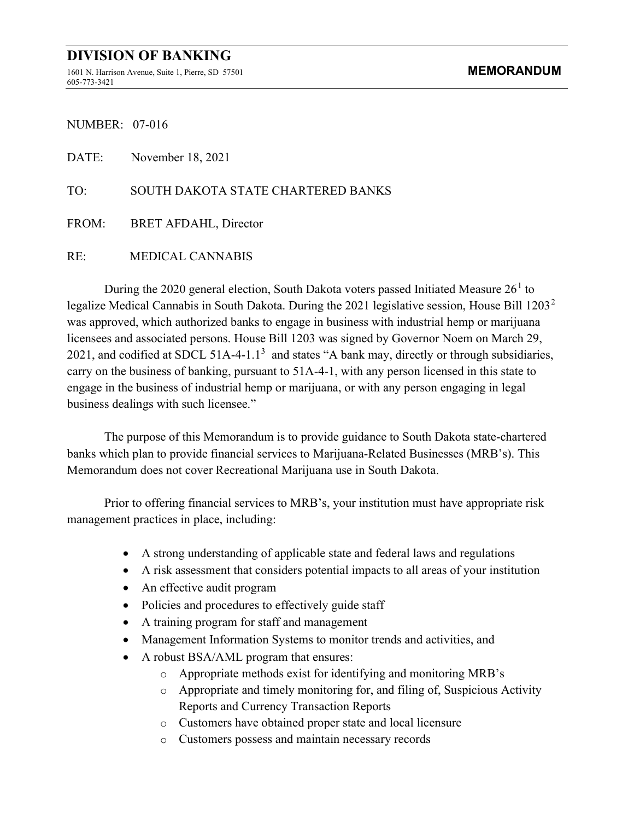1601 N. Harrison Avenue, Suite 1, Pierre, SD 57501 **MEMORANDUM** 605-773-3421

NUMBER: 07-016

DATE: November 18, 2021 TO: SOUTH DAKOTA STATE CHARTERED BANKS FROM: BRET AFDAHL, Director RE: MEDICAL CANNABIS

During the 2020 general election, South Dakota voters passed Initiated Measure  $26<sup>1</sup>$  to legalize Medical Cannabis in South Dakota. During the 2021 legislative session, House Bill 1203<sup>2</sup> was approved, which authorized banks to engage in business with industrial hemp or marijuana licensees and associated persons. House Bill 1203 was signed by Governor Noem on March 29, 2021, and codified at SDCL 51A-4-1.1<sup>3</sup> and states "A bank may, directly or through subsidiaries, carry on the business of banking, pursuant to 51A-4-1, with any person licensed in this state to engage in the business of industrial hemp or marijuana, or with any person engaging in legal business dealings with such licensee."

The purpose of this Memorandum is to provide guidance to South Dakota state-chartered banks which plan to provide financial services to Marijuana-Related Businesses (MRB's). This Memorandum does not cover Recreational Marijuana use in South Dakota.

Prior to offering financial services to MRB's, your institution must have appropriate risk management practices in place, including:

- A strong understanding of applicable state and federal laws and regulations
- A risk assessment that considers potential impacts to all areas of your institution
- An effective audit program
- Policies and procedures to effectively guide staff
- A training program for staff and management
- Management Information Systems to monitor trends and activities, and
- A robust BSA/AML program that ensures:
	- o Appropriate methods exist for identifying and monitoring MRB's
	- o Appropriate and timely monitoring for, and filing of, Suspicious Activity Reports and Currency Transaction Reports
	- o Customers have obtained proper state and local licensure
	- o Customers possess and maintain necessary records